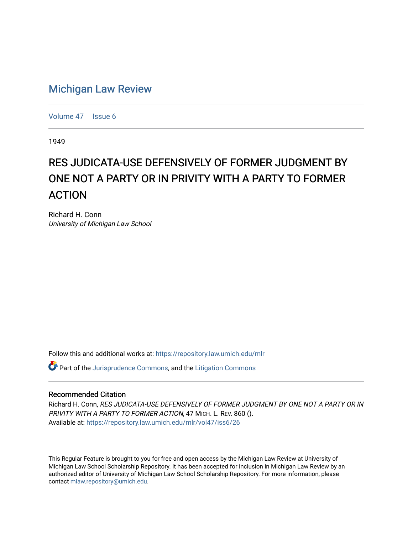## [Michigan Law Review](https://repository.law.umich.edu/mlr)

[Volume 47](https://repository.law.umich.edu/mlr/vol47) | [Issue 6](https://repository.law.umich.edu/mlr/vol47/iss6)

1949

## RES JUDICATA-USE DEFENSIVELY OF FORMER JUDGMENT BY ONE NOT A PARTY OR IN PRIVITY WITH A PARTY TO FORMER ACTION

Richard H. Conn University of Michigan Law School

Follow this and additional works at: [https://repository.law.umich.edu/mlr](https://repository.law.umich.edu/mlr?utm_source=repository.law.umich.edu%2Fmlr%2Fvol47%2Fiss6%2F26&utm_medium=PDF&utm_campaign=PDFCoverPages) 

**C** Part of the [Jurisprudence Commons](http://network.bepress.com/hgg/discipline/610?utm_source=repository.law.umich.edu%2Fmlr%2Fvol47%2Fiss6%2F26&utm_medium=PDF&utm_campaign=PDFCoverPages), and the [Litigation Commons](http://network.bepress.com/hgg/discipline/910?utm_source=repository.law.umich.edu%2Fmlr%2Fvol47%2Fiss6%2F26&utm_medium=PDF&utm_campaign=PDFCoverPages)

## Recommended Citation

Richard H. Conn, RES JUDICATA-USE DEFENSIVELY OF FORMER JUDGMENT BY ONE NOT A PARTY OR IN PRIVITY WITH A PARTY TO FORMER ACTION, 47 MICH. L. REV. 860 (). Available at: [https://repository.law.umich.edu/mlr/vol47/iss6/26](https://repository.law.umich.edu/mlr/vol47/iss6/26?utm_source=repository.law.umich.edu%2Fmlr%2Fvol47%2Fiss6%2F26&utm_medium=PDF&utm_campaign=PDFCoverPages) 

This Regular Feature is brought to you for free and open access by the Michigan Law Review at University of Michigan Law School Scholarship Repository. It has been accepted for inclusion in Michigan Law Review by an authorized editor of University of Michigan Law School Scholarship Repository. For more information, please contact [mlaw.repository@umich.edu](mailto:mlaw.repository@umich.edu).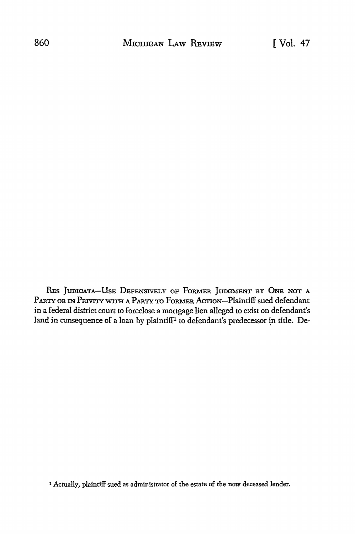RES JUDICATA-USE DEFENSIVELY OF FORMER JUDGMENT BY ONE NOT A PARTY OR IN PRIVITY WITH A PARTY TO FORMER ACTION-Plaintiff sued defendant in a federal district court to foreclose a mortgage lien alleged to exist on defendant's land in consequence of a loan by plaintiff<sup>1</sup> to defendant's predecessor in title. De-

1 Actually, plaintiff sued as administrator of the estate of the now deceased lender.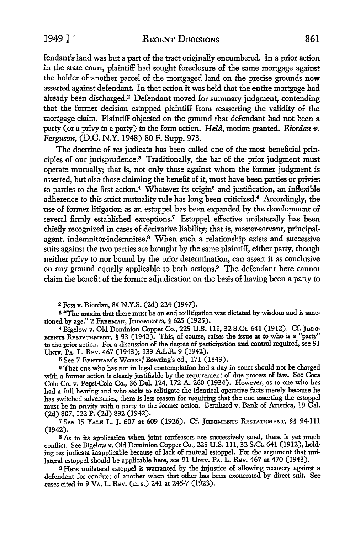1949 ] RECENT DECISIONS 861

fendant's land was but a part of the tract originally encumbered. In a prior action in the state court, plaintiff had sought foreclosure of the same mortgage against the holder of another parcel of the mortgaged land on the precise grounds now asserted against defendant. In that action it was held that the entire mortgage had already been discharged.<sup>2</sup> Defendant moved for summary judgment, contending that the former decision estopped plaintiff from reasserting the validity of the mortgage claim. Plaintiff objected on the ground that defendant had not been a party ( or a privy to a party) to the form action. *Held,* motion granted. *Riordan* v. *Ferguson,* (D.C. N.Y. 1948) 80 F. Supp. 973.

The doctrine of res judicata has been called one of the most beneficial principles of our jurisprudence.3 Traditionally, the bar of the prior judgment must operate mutually; that is, not only those against whom the former judgment is asserted, but also those claiming the benefit of it, must have been parties or privies to parties to the first action.<sup>4</sup> Whatever its origin<sup>5</sup> and justification, an inflexible adherence to this strict mutuality rule has long been criticized.<sup>6</sup> Accordingly, the use of former litigation as an estoppel has been expanded by the development of several firmly established exceptions.<sup>7</sup> Estoppel effective unilaterally has been chiefly recognized in cases of derivative liability; that is, master-servant, principalagent, indemnitor-indemnitee.8 When such a relationship exists and successive suits against the two parties are brought by the same plaintiff, either party, though neither privy to nor bound by the prior determination, can assert it as conclusive on any ground equally applicable to both actions.9 The defendant here cannot claim the benefit of the former adjudication on the basis of having been a party to

<sup>2</sup>Foss v. Riordan, 84 N.Y.S. (2d) 224 (1947).

s "The maxim that there must be an end to•litigation was dictated by wisdom and is sanctioned by age." 2 FREEMAN, JUDGMENTS, § 625 (1925).

4 Bigelow v. Old Dominion Copper Co., 225 U.S. 111, 32 S.Ct. 641 (1912). Cf. Junc-MENTS RESTATEMENT, § 93 (1942). This, of course, raises the issue as to who is a "party" to the prior action. For a discussion of the degree of participation and control required, see 91 UNIV. PA. L. RBv. 467 (1943); 139 A.L.R. 9 (1942).

 $5$  See 7 BENTHAM's WORKS,<sup>8</sup> Bowring's ed., 171 (1843).

<sup>6</sup>That one who has not in legal contemplation had a day in court should not be charged with a former action is clearly justifiable by the requirement of due process of law. See Coca Cola Co. v. Pepsi-Cola Co., 36 Del. 124, 172 A. 260 (1934). However, as to one who has had a full hearing and who seeks to relitigate the identical operative facts 'merely because he has switched adversaries, there is less reason for requiring that the one asserting the estoppel must be in privity with a party to the former action. Bernhard v. Bank of America, 19 Cal. (2d) 807, 122 P. (2d) 892 (1942).

7 See 35 YALE L. J. 607 at 609 (1926). Cf. JUDGMENTS RESTATEMENT, §§ 94-111 (1942).

8 As to its application when joint tortfeasors are successively sued, there is yet much conflict. See Bigelow v. Old Dominion Copper Co., 225 U.S. 111, 32 S.Ct. 641 (1912), holding res judicata inapplicable because of lack of mutual estoppel. For the argument that unilateral estoppel should be applicable here, see 91 UNIV. PA. L. REV. 467 at 470 (1943).

9 Here unilateral estoppel is warranted by the injustice of allowing recovery against a defendant for conduct of another when that other has been exonerated by direct suit. See cases cited in 9 VA. L. REV. (n. s.) 241 at 245-7 (1923).